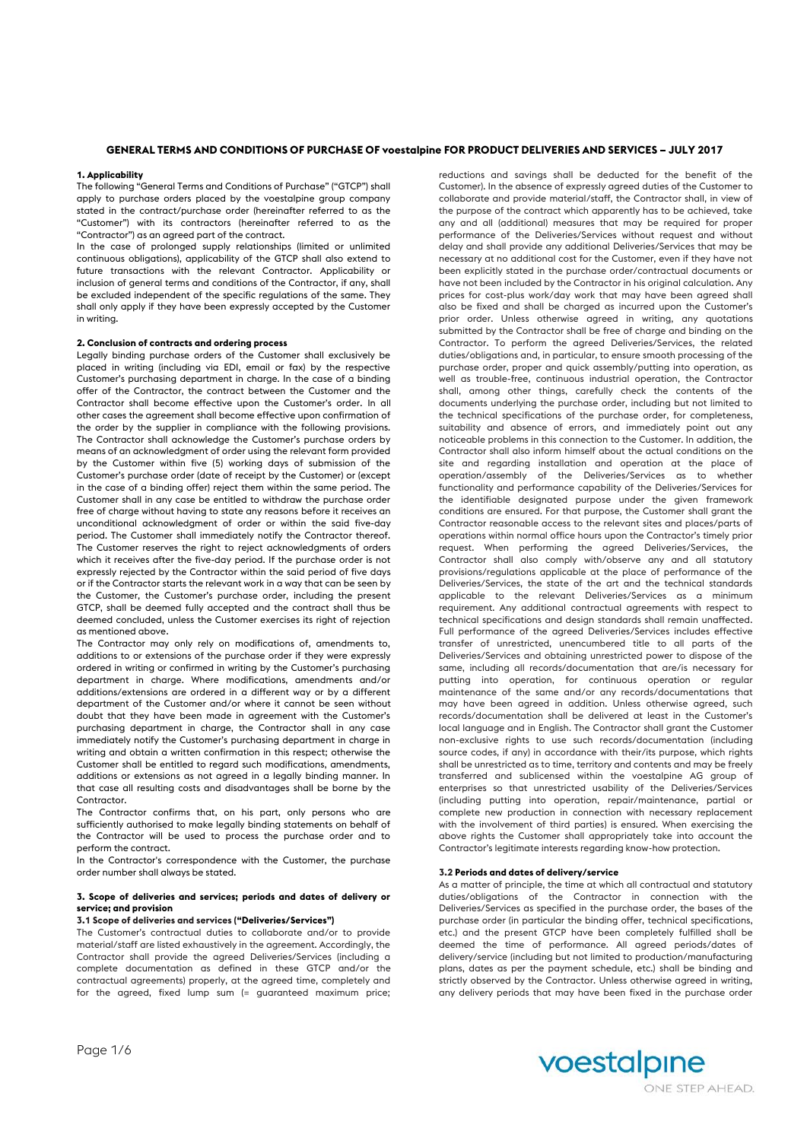# **GENERAL TERMS AND CONDITIONS OF PURCHASE OF voestalpine FOR PRODUCT DELIVERIES AND SERVICES – JULY 2017**

## **1. Applicability**

The following "General Terms and Conditions of Purchase" ("GTCP") shall apply to purchase orders placed by the voestalpine group company stated in the contract/purchase order (hereinafter referred to as the "Customer") with its contractors (hereinafter referred to as the "Contractor") as an agreed part of the contract.

In the case of prolonged supply relationships (limited or unlimited continuous obligations), applicability of the GTCP shall also extend to future transactions with the relevant Contractor. Applicability or inclusion of general terms and conditions of the Contractor, if any, shall be excluded independent of the specific regulations of the same. They shall only apply if they have been expressly accepted by the Customer in writing.

#### **2. Conclusion of contracts and ordering process**

Legally binding purchase orders of the Customer shall exclusively be placed in writing (including via EDI, email or fax) by the respective Customer's purchasing department in charge. In the case of a binding offer of the Contractor, the contract between the Customer and the Contractor shall become effective upon the Customer's order. In all other cases the agreement shall become effective upon confirmation of the order by the supplier in compliance with the following provisions. The Contractor shall acknowledge the Customer's purchase orders by means of an acknowledgment of order using the relevant form provided by the Customer within five (5) working days of submission of the Customer's purchase order (date of receipt by the Customer) or (except in the case of a binding offer) reject them within the same period. The Customer shall in any case be entitled to withdraw the purchase order free of charge without having to state any reasons before it receives an unconditional acknowledgment of order or within the said five-day period. The Customer shall immediately notify the Contractor thereof. The Customer reserves the right to reject acknowledgments of orders which it receives after the five-day period. If the purchase order is not expressly rejected by the Contractor within the said period of five days or if the Contractor starts the relevant work in a way that can be seen by the Customer, the Customer's purchase order, including the present GTCP, shall be deemed fully accepted and the contract shall thus be deemed concluded, unless the Customer exercises its right of rejection as mentioned above.

The Contractor may only rely on modifications of, amendments to, additions to or extensions of the purchase order if they were expressly ordered in writing or confirmed in writing by the Customer's purchasing department in charge. Where modifications, amendments and/or additions/extensions are ordered in a different way or by a different department of the Customer and/or where it cannot be seen without doubt that they have been made in agreement with the Customer's purchasing department in charge, the Contractor shall in any case immediately notify the Customer's purchasing department in charge in writing and obtain a written confirmation in this respect; otherwise the Customer shall be entitled to regard such modifications, amendments, additions or extensions as not agreed in a legally binding manner. In that case all resulting costs and disadvantages shall be borne by the Contractor.

The Contractor confirms that, on his part, only persons who are sufficiently authorised to make legally binding statements on behalf of the Contractor will be used to process the purchase order and to perform the contract.

In the Contractor's correspondence with the Customer, the purchase order number shall always be stated.

# **3. Scope of deliveries and services; periods and dates of delivery or service; and provision**

## **3.1 Scope of deliveries and services ("Deliveries/Services")**

The Customer's contractual duties to collaborate and/or to provide material/staff are listed exhaustively in the agreement. Accordingly, the Contractor shall provide the agreed Deliveries/Services (including a complete documentation as defined in these GTCP and/or the contractual agreements) properly, at the agreed time, completely and for the agreed, fixed lump sum (= guaranteed maximum price;

reductions and savings shall be deducted for the benefit of the Customer). In the absence of expressly agreed duties of the Customer to collaborate and provide material/staff, the Contractor shall, in view of the purpose of the contract which apparently has to be achieved, take any and all (additional) measures that may be required for proper performance of the Deliveries/Services without request and without delay and shall provide any additional Deliveries/Services that may be necessary at no additional cost for the Customer, even if they have not been explicitly stated in the purchase order/contractual documents or have not been included by the Contractor in his original calculation. Any prices for cost-plus work/day work that may have been agreed shall also be fixed and shall be charged as incurred upon the Customer's prior order. Unless otherwise agreed in writing, any quotations submitted by the Contractor shall be free of charge and binding on the Contractor. To perform the agreed Deliveries/Services, the related duties/obligations and, in particular, to ensure smooth processing of the purchase order, proper and quick assembly/putting into operation, as well as trouble-free, continuous industrial operation, the Contractor shall, among other things, carefully check the contents of the documents underlying the purchase order, including but not limited to the technical specifications of the purchase order, for completeness, suitability and absence of errors, and immediately point out any noticeable problems in this connection to the Customer. In addition, the Contractor shall also inform himself about the actual conditions on the site and regarding installation and operation at the place of operation/assembly of the Deliveries/Services as to whether functionality and performance capability of the Deliveries/Services for the identifiable designated purpose under the given framework conditions are ensured. For that purpose, the Customer shall grant the Contractor reasonable access to the relevant sites and places/parts of operations within normal office hours upon the Contractor's timely prior request. When performing the agreed Deliveries/Services, the Contractor shall also comply with/observe any and all statutory provisions/regulations applicable at the place of performance of the Deliveries/Services, the state of the art and the technical standards applicable to the relevant Deliveries/Services as a minimum requirement. Any additional contractual agreements with respect to technical specifications and design standards shall remain unaffected. Full performance of the agreed Deliveries/Services includes effective transfer of unrestricted, unencumbered title to all parts of the Deliveries/Services and obtaining unrestricted power to dispose of the same, including all records/documentation that are/is necessary for putting into operation, for continuous operation or regular maintenance of the same and/or any records/documentations that may have been agreed in addition. Unless otherwise agreed, such records/documentation shall be delivered at least in the Customer's local language and in English. The Contractor shall grant the Customer non-exclusive rights to use such records/documentation (including source codes, if any) in accordance with their/its purpose, which rights shall be unrestricted as to time, territory and contents and may be freely transferred and sublicensed within the voestalpine AG group of enterprises so that unrestricted usability of the Deliveries/Services (including putting into operation, repair/maintenance, partial or complete new production in connection with necessary replacement with the involvement of third parties) is ensured. When exercising the above rights the Customer shall appropriately take into account the Contractor's legitimate interests regarding know-how protection.

### **3.2 Periods and dates of delivery/service**

As a matter of principle, the time at which all contractual and statutory duties/obligations of the Contractor in connection with the Deliveries/Services as specified in the purchase order, the bases of the purchase order (in particular the binding offer, technical specifications, etc.) and the present GTCP have been completely fulfilled shall be deemed the time of performance. All agreed periods/dates of delivery/service (including but not limited to production/manufacturing plans, dates as per the payment schedule, etc.) shall be binding and strictly observed by the Contractor. Unless otherwise agreed in writing, any delivery periods that may have been fixed in the purchase order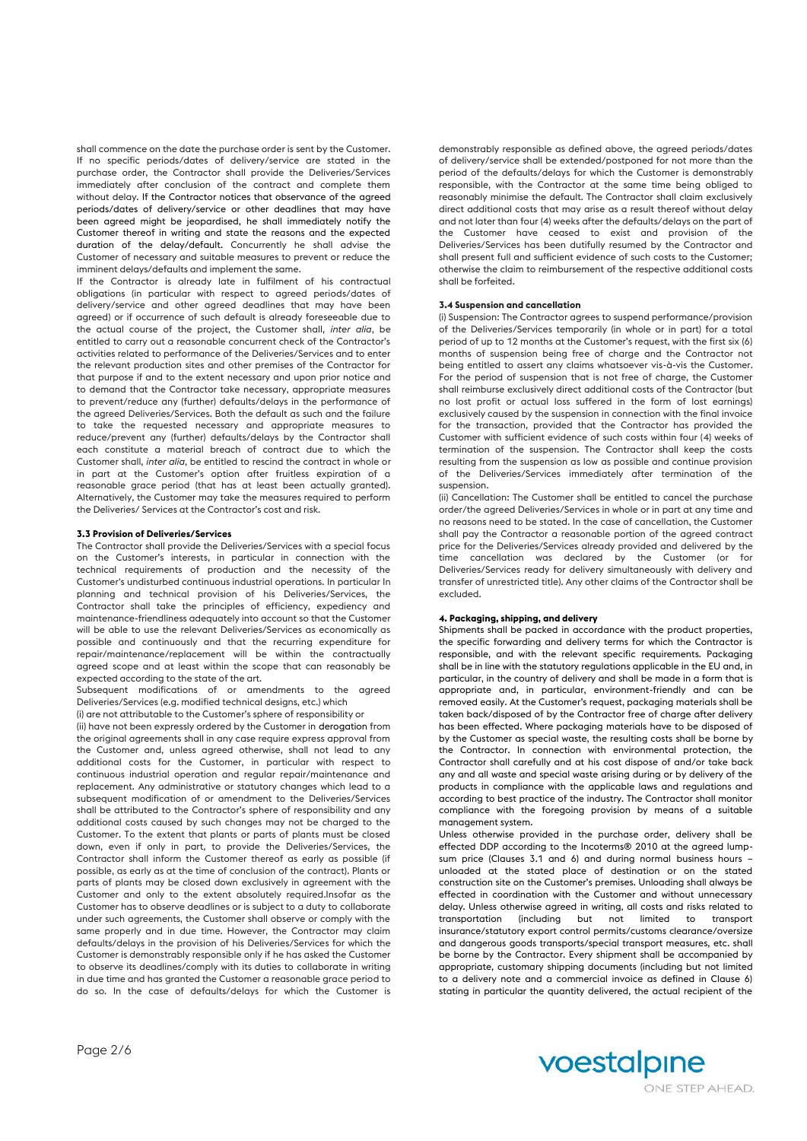shall commence on the date the purchase order is sent by the Customer. If no specific periods/dates of delivery/service are stated in the purchase order, the Contractor shall provide the Deliveries/Services immediately after conclusion of the contract and complete them without delay. If the Contractor notices that observance of the agreed periods/dates of delivery/service or other deadlines that may have been agreed might be jeopardised, he shall immediately notify the Customer thereof in writing and state the reasons and the expected duration of the delay/default. Concurrently he shall advise the Customer of necessary and suitable measures to prevent or reduce the imminent delays/defaults and implement the same.

If the Contractor is already late in fulfilment of his contractual obligations (in particular with respect to agreed periods/dates of delivery/service and other agreed deadlines that may have been agreed) or if occurrence of such default is already foreseeable due to the actual course of the project, the Customer shall, *inter alia*, be entitled to carry out a reasonable concurrent check of the Contractor's activities related to performance of the Deliveries/Services and to enter the relevant production sites and other premises of the Contractor for that purpose if and to the extent necessary and upon prior notice and to demand that the Contractor take necessary, appropriate measures to prevent/reduce any (further) defaults/delays in the performance of the agreed Deliveries/Services. Both the default as such and the failure to take the requested necessary and appropriate measures to reduce/prevent any (further) defaults/delays by the Contractor shall each constitute a material breach of contract due to which the Customer shall, *inter alia*, be entitled to rescind the contract in whole or in part at the Customer's option after fruitless expiration of a reasonable grace period (that has at least been actually granted). Alternatively, the Customer may take the measures required to perform the Deliveries/ Services at the Contractor's cost and risk.

# **3.3 Provision of Deliveries/Services**

The Contractor shall provide the Deliveries/Services with a special focus on the Customer's interests, in particular in connection with the technical requirements of production and the necessity of the Customer's undisturbed continuous industrial operations. In particular In planning and technical provision of his Deliveries/Services, the Contractor shall take the principles of efficiency, expediency and maintenance-friendliness adequately into account so that the Customer will be able to use the relevant Deliveries/Services as economically as possible and continuously and that the recurring expenditure for repair/maintenance/replacement will be within the contractually agreed scope and at least within the scope that can reasonably be expected according to the state of the art.

Subsequent modifications of or amendments to the agreed Deliveries/Services (e.g. modified technical designs, etc.) which (i) are not attributable to the Customer's sphere of responsibility or

(ii) have not been expressly ordered by the Customer in derogation from the original agreements shall in any case require express approval from the Customer and, unless agreed otherwise, shall not lead to any additional costs for the Customer, in particular with respect to continuous industrial operation and regular repair/maintenance and replacement. Any administrative or statutory changes which lead to a subsequent modification of or amendment to the Deliveries/Services shall be attributed to the Contractor's sphere of responsibility and any additional costs caused by such changes may not be charged to the Customer. To the extent that plants or parts of plants must be closed down, even if only in part, to provide the Deliveries/Services, the Contractor shall inform the Customer thereof as early as possible (if possible, as early as at the time of conclusion of the contract). Plants or parts of plants may be closed down exclusively in agreement with the Customer and only to the extent absolutely required.Insofar as the Customer has to observe deadlines or is subject to a duty to collaborate under such agreements, the Customer shall observe or comply with the same properly and in due time. However, the Contractor may claim defaults/delays in the provision of his Deliveries/Services for which the Customer is demonstrably responsible only if he has asked the Customer to observe its deadlines/comply with its duties to collaborate in writing in due time and has granted the Customer a reasonable grace period to do so. In the case of defaults/delays for which the Customer is demonstrably responsible as defined above, the agreed periods/dates of delivery/service shall be extended/postponed for not more than the period of the defaults/delays for which the Customer is demonstrably responsible, with the Contractor at the same time being obliged to reasonably minimise the default. The Contractor shall claim exclusively direct additional costs that may arise as a result thereof without delay and not later than four (4) weeks after the defaults/delays on the part of the Customer have ceased to exist and provision of the Deliveries/Services has been dutifully resumed by the Contractor and shall present full and sufficient evidence of such costs to the Customer; otherwise the claim to reimbursement of the respective additional costs shall be forfeited.

# **3.4 Suspension and cancellation**

(i) Suspension: The Contractor agrees to suspend performance/provision of the Deliveries/Services temporarily (in whole or in part) for a total period of up to 12 months at the Customer's request, with the first six (6) months of suspension being free of charge and the Contractor not being entitled to assert any claims whatsoever vis-à-vis the Customer. For the period of suspension that is not free of charge, the Customer shall reimburse exclusively direct additional costs of the Contractor (but no lost profit or actual loss suffered in the form of lost earnings) exclusively caused by the suspension in connection with the final invoice for the transaction, provided that the Contractor has provided the Customer with sufficient evidence of such costs within four (4) weeks of termination of the suspension. The Contractor shall keep the costs resulting from the suspension as low as possible and continue provision of the Deliveries/Services immediately after termination of the suspension.

(ii) Cancellation: The Customer shall be entitled to cancel the purchase order/the agreed Deliveries/Services in whole or in part at any time and no reasons need to be stated. In the case of cancellation, the Customer shall pay the Contractor a reasonable portion of the agreed contract price for the Deliveries/Services already provided and delivered by the time cancellation was declared by the Customer (or for Deliveries/Services ready for delivery simultaneously with delivery and transfer of unrestricted title). Any other claims of the Contractor shall be excluded.

### **4. Packaging, shipping, and delivery**

Shipments shall be packed in accordance with the product properties, the specific forwarding and delivery terms for which the Contractor is responsible, and with the relevant specific requirements. Packaging shall be in line with the statutory regulations applicable in the EU and, in particular, in the country of delivery and shall be made in a form that is appropriate and, in particular, environment-friendly and can be removed easily. At the Customer's request, packaging materials shall be taken back/disposed of by the Contractor free of charge after delivery has been effected. Where packaging materials have to be disposed of by the Customer as special waste, the resulting costs shall be borne by the Contractor. In connection with environmental protection, the Contractor shall carefully and at his cost dispose of and/or take back any and all waste and special waste arising during or by delivery of the products in compliance with the applicable laws and regulations and according to best practice of the industry. The Contractor shall monitor compliance with the foregoing provision by means of a suitable management system.

Unless otherwise provided in the purchase order, delivery shall be effected DDP according to the Incoterms® 2010 at the agreed lumpsum price (Clauses 3.1 and 6) and during normal business hours – unloaded at the stated place of destination or on the stated construction site on the Customer's premises. Unloading shall always be effected in coordination with the Customer and without unnecessary delay. Unless otherwise agreed in writing, all costs and risks related to transportation (including but not limited to transport insurance/statutory export control permits/customs clearance/oversize and dangerous goods transports/special transport measures, etc. shall be borne by the Contractor. Every shipment shall be accompanied by appropriate, customary shipping documents (including but not limited to a delivery note and a commercial invoice as defined in Clause 6) stating in particular the quantity delivered, the actual recipient of the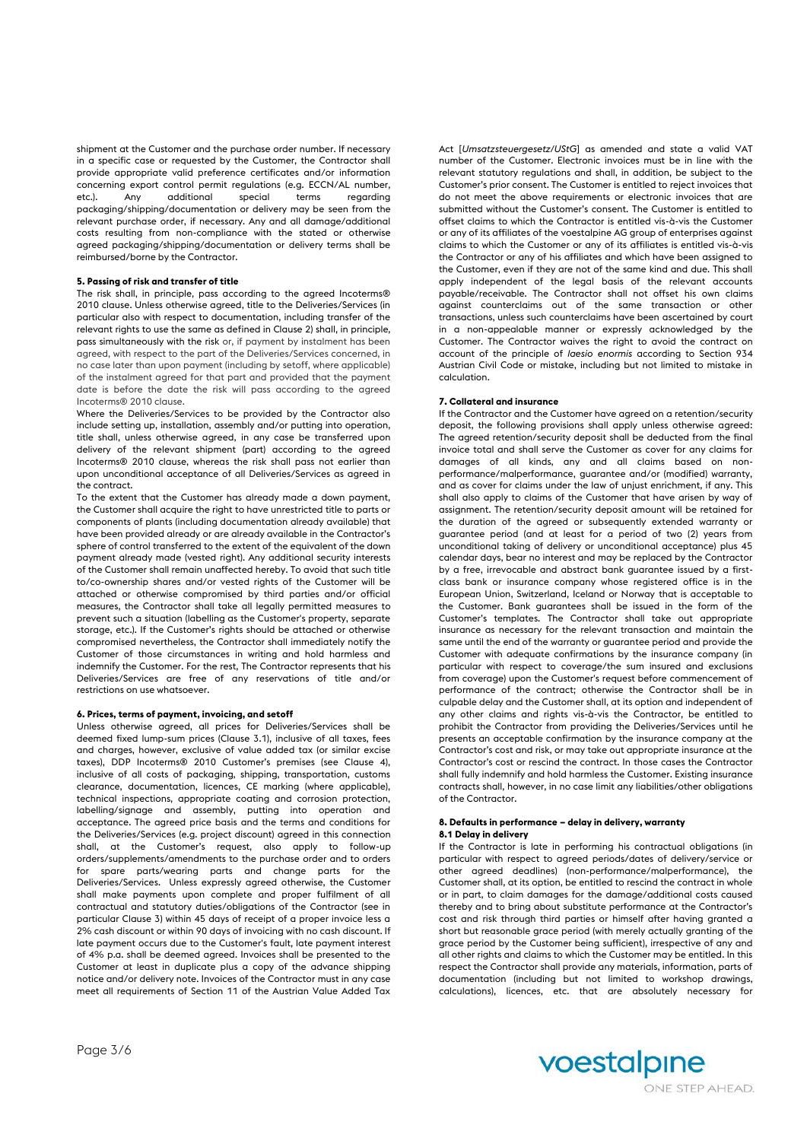shipment at the Customer and the purchase order number. If necessary in a specific case or requested by the Customer, the Contractor shall provide appropriate valid preference certificates and/or information concerning export control permit regulations (e.g. ECCN/AL number, etc.). Any additional special terms regarding packaging/shipping/documentation or delivery may be seen from the relevant purchase order, if necessary. Any and all damage/additional costs resulting from non-compliance with the stated or otherwise agreed packaging/shipping/documentation or delivery terms shall be reimbursed/borne by the Contractor.

# **5. Passing of risk and transfer of title**

The risk shall, in principle, pass according to the agreed Incoterms® 2010 clause. Unless otherwise agreed, title to the Deliveries/Services (in particular also with respect to documentation, including transfer of the relevant rights to use the same as defined in Clause 2) shall, in principle, pass simultaneously with the risk or, if payment by instalment has been agreed, with respect to the part of the Deliveries/Services concerned, in no case later than upon payment (including by setoff, where applicable) of the instalment agreed for that part and provided that the payment date is before the date the risk will pass according to the agreed Incoterms® 2010 clause.

Where the Deliveries/Services to be provided by the Contractor also include setting up, installation, assembly and/or putting into operation, title shall, unless otherwise agreed, in any case be transferred upon delivery of the relevant shipment (part) according to the agreed Incoterms® 2010 clause, whereas the risk shall pass not earlier than upon unconditional acceptance of all Deliveries/Services as agreed in the contract.

To the extent that the Customer has already made a down payment, the Customer shall acquire the right to have unrestricted title to parts or components of plants (including documentation already available) that have been provided already or are already available in the Contractor's sphere of control transferred to the extent of the equivalent of the down payment already made (vested right). Any additional security interests of the Customer shall remain unaffected hereby. To avoid that such title to/co-ownership shares and/or vested rights of the Customer will be attached or otherwise compromised by third parties and/or official measures, the Contractor shall take all legally permitted measures to prevent such a situation (labelling as the Customer's property, separate storage, etc.). If the Customer's rights should be attached or otherwise compromised nevertheless, the Contractor shall immediately notify the Customer of those circumstances in writing and hold harmless and indemnify the Customer. For the rest, The Contractor represents that his Deliveries/Services are free of any reservations of title and/or restrictions on use whatsoever.

#### **6. Prices, terms of payment, invoicing, and setoff**

Unless otherwise agreed, all prices for Deliveries/Services shall be deemed fixed lump-sum prices (Clause 3.1), inclusive of all taxes, fees and charges, however, exclusive of value added tax (or similar excise taxes), DDP Incoterms® 2010 Customer's premises (see Clause 4), inclusive of all costs of packaging, shipping, transportation, customs clearance, documentation, licences, CE marking (where applicable), technical inspections, appropriate coating and corrosion protection, labelling/signage and assembly, putting into operation and acceptance. The agreed price basis and the terms and conditions for the Deliveries/Services (e.g. project discount) agreed in this connection shall, at the Customer's request, also apply to follow-up orders/supplements/amendments to the purchase order and to orders for spare parts/wearing parts and change parts for the Deliveries/Services. Unless expressly agreed otherwise, the Customer shall make payments upon complete and proper fulfilment of all contractual and statutory duties/obligations of the Contractor (see in particular Clause 3) within 45 days of receipt of a proper invoice less a 2% cash discount or within 90 days of invoicing with no cash discount. If late payment occurs due to the Customer's fault, late payment interest of 4% p.a. shall be deemed agreed. Invoices shall be presented to the Customer at least in duplicate plus a copy of the advance shipping notice and/or delivery note. Invoices of the Contractor must in any case meet all requirements of Section 11 of the Austrian Value Added Tax

Act [*Umsatzsteuergesetz/UStG*] as amended and state a valid VAT number of the Customer. Electronic invoices must be in line with the relevant statutory regulations and shall, in addition, be subject to the Customer's prior consent. The Customer is entitled to reject invoices that do not meet the above requirements or electronic invoices that are submitted without the Customer's consent. The Customer is entitled to offset claims to which the Contractor is entitled vis-à-vis the Customer or any of its affiliates of the voestalpine AG group of enterprises against claims to which the Customer or any of its affiliates is entitled vis-à-vis the Contractor or any of his affiliates and which have been assigned to the Customer, even if they are not of the same kind and due. This shall apply independent of the legal basis of the relevant accounts payable/receivable. The Contractor shall not offset his own claims against counterclaims out of the same transaction or other transactions, unless such counterclaims have been ascertained by court in a non-appealable manner or expressly acknowledged by the Customer. The Contractor waives the right to avoid the contract on account of the principle of *laesio enormis* according to Section 934 Austrian Civil Code or mistake, including but not limited to mistake in calculation.

#### **7. Collateral and insurance**

If the Contractor and the Customer have agreed on a retention/security deposit, the following provisions shall apply unless otherwise agreed: The agreed retention/security deposit shall be deducted from the final invoice total and shall serve the Customer as cover for any claims for damages of all kinds, any and all claims based on nonperformance/malperformance, guarantee and/or (modified) warranty, and as cover for claims under the law of unjust enrichment, if any. This shall also apply to claims of the Customer that have arisen by way of assignment. The retention/security deposit amount will be retained for the duration of the agreed or subsequently extended warranty or guarantee period (and at least for a period of two (2) years from unconditional taking of delivery or unconditional acceptance) plus 45 calendar days, bear no interest and may be replaced by the Contractor by a free, irrevocable and abstract bank guarantee issued by a firstclass bank or insurance company whose registered office is in the European Union, Switzerland, Iceland or Norway that is acceptable to the Customer. Bank guarantees shall be issued in the form of the Customer's templates. The Contractor shall take out appropriate insurance as necessary for the relevant transaction and maintain the same until the end of the warranty or guarantee period and provide the Customer with adequate confirmations by the insurance company (in particular with respect to coverage/the sum insured and exclusions from coverage) upon the Customer's request before commencement of performance of the contract; otherwise the Contractor shall be in culpable delay and the Customer shall, at its option and independent of any other claims and rights vis-à-vis the Contractor, be entitled to prohibit the Contractor from providing the Deliveries/Services until he presents an acceptable confirmation by the insurance company at the Contractor's cost and risk, or may take out appropriate insurance at the Contractor's cost or rescind the contract. In those cases the Contractor shall fully indemnify and hold harmless the Customer. Existing insurance contracts shall, however, in no case limit any liabilities/other obligations of the Contractor.

# **8. Defaults in performance – delay in delivery, warranty 8.1 Delay in delivery**

If the Contractor is late in performing his contractual obligations (in particular with respect to agreed periods/dates of delivery/service or other agreed deadlines) (non-performance/malperformance), the Customer shall, at its option, be entitled to rescind the contract in whole or in part, to claim damages for the damage/additional costs caused thereby and to bring about substitute performance at the Contractor's cost and risk through third parties or himself after having granted a short but reasonable grace period (with merely actually granting of the grace period by the Customer being sufficient), irrespective of any and all other rights and claims to which the Customer may be entitled. In this respect the Contractor shall provide any materials, information, parts of documentation (including but not limited to workshop drawings, calculations), licences, etc. that are absolutely necessary for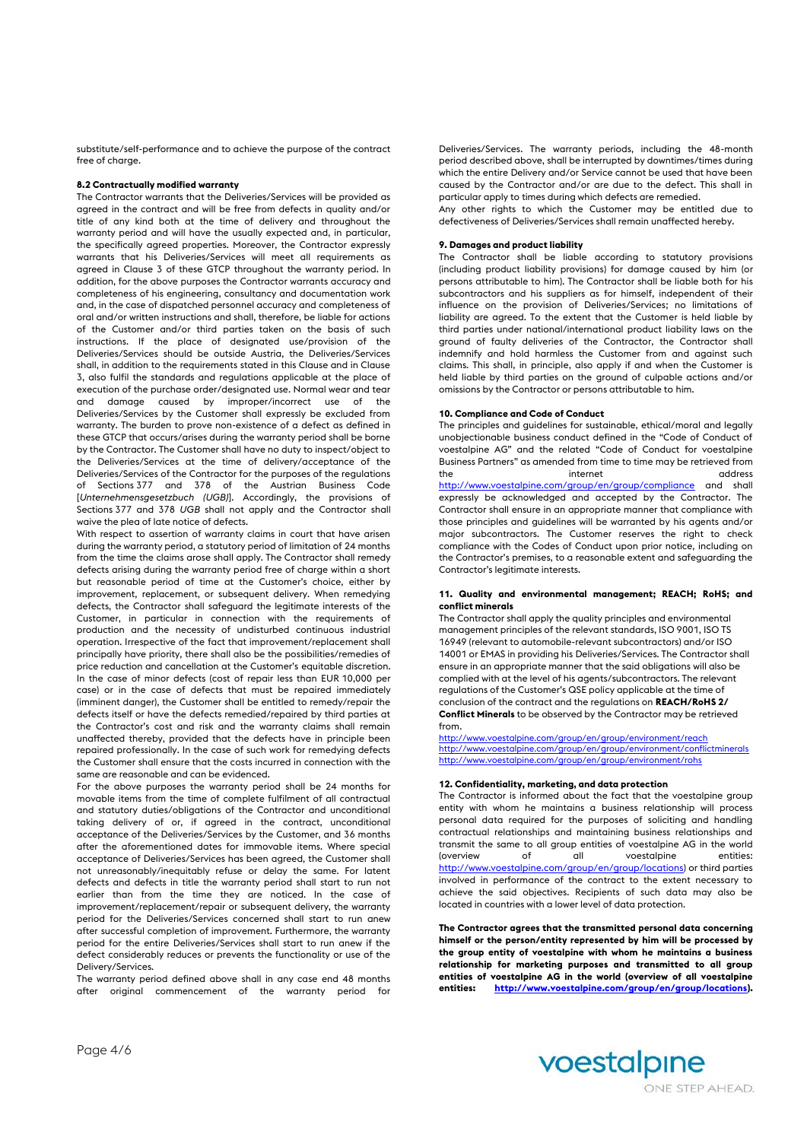substitute/self-performance and to achieve the purpose of the contract free of charge.

## **8.2 Contractually modified warranty**

The Contractor warrants that the Deliveries/Services will be provided as agreed in the contract and will be free from defects in quality and/or title of any kind both at the time of delivery and throughout the warranty period and will have the usually expected and, in particular, the specifically agreed properties. Moreover, the Contractor expressly warrants that his Deliveries/Services will meet all requirements as agreed in Clause 3 of these GTCP throughout the warranty period. In addition, for the above purposes the Contractor warrants accuracy and completeness of his engineering, consultancy and documentation work and, in the case of dispatched personnel accuracy and completeness of oral and/or written instructions and shall, therefore, be liable for actions of the Customer and/or third parties taken on the basis of such instructions. If the place of designated use/provision of the Deliveries/Services should be outside Austria, the Deliveries/Services shall, in addition to the requirements stated in this Clause and in Clause 3, also fulfil the standards and regulations applicable at the place of execution of the purchase order/designated use. Normal wear and tear and damage caused by improper/incorrect use of the Deliveries/Services by the Customer shall expressly be excluded from warranty. The burden to prove non-existence of a defect as defined in these GTCP that occurs/arises during the warranty period shall be borne by the Contractor. The Customer shall have no duty to inspect/object to the Deliveries/Services at the time of delivery/acceptance of the Deliveries/Services of the Contractor for the purposes of the regulations of Sections 377 and 378 of the Austrian Business Code [*Unternehmensgesetzbuch (UGB)*]. Accordingly, the provisions of Sections 377 and 378 *UGB* shall not apply and the Contractor shall waive the plea of late notice of defects.

With respect to assertion of warranty claims in court that have arisen during the warranty period, a statutory period of limitation of 24 months from the time the claims arose shall apply. The Contractor shall remedy defects arising during the warranty period free of charge within a short but reasonable period of time at the Customer's choice, either by improvement, replacement, or subsequent delivery. When remedying defects, the Contractor shall safeguard the legitimate interests of the Customer, in particular in connection with the requirements of production and the necessity of undisturbed continuous industrial operation. Irrespective of the fact that improvement/replacement shall principally have priority, there shall also be the possibilities/remedies of price reduction and cancellation at the Customer's equitable discretion. In the case of minor defects (cost of repair less than EUR 10,000 per case) or in the case of defects that must be repaired immediately (imminent danger), the Customer shall be entitled to remedy/repair the defects itself or have the defects remedied/repaired by third parties at the Contractor's cost and risk and the warranty claims shall remain unaffected thereby, provided that the defects have in principle been repaired professionally. In the case of such work for remedying defects the Customer shall ensure that the costs incurred in connection with the same are reasonable and can be evidenced.

For the above purposes the warranty period shall be 24 months for movable items from the time of complete fulfilment of all contractual and statutory duties/obligations of the Contractor and unconditional taking delivery of or, if agreed in the contract, unconditional acceptance of the Deliveries/Services by the Customer, and 36 months after the aforementioned dates for immovable items. Where special acceptance of Deliveries/Services has been agreed, the Customer shall not unreasonably/inequitably refuse or delay the same. For latent defects and defects in title the warranty period shall start to run not earlier than from the time they are noticed. In the case of improvement/replacement/repair or subsequent delivery, the warranty period for the Deliveries/Services concerned shall start to run anew after successful completion of improvement. Furthermore, the warranty period for the entire Deliveries/Services shall start to run anew if the defect considerably reduces or prevents the functionality or use of the Delivery/Services.

The warranty period defined above shall in any case end 48 months after original commencement of the warranty period for Deliveries/Services. The warranty periods, including the 48-month period described above, shall be interrupted by downtimes/times during which the entire Delivery and/or Service cannot be used that have been caused by the Contractor and/or are due to the defect. This shall in particular apply to times during which defects are remedied.

Any other rights to which the Customer may be entitled due to defectiveness of Deliveries/Services shall remain unaffected hereby.

# **9. Damages and product liability**

The Contractor shall be liable according to statutory provisions (including product liability provisions) for damage caused by him (or persons attributable to him). The Contractor shall be liable both for his subcontractors and his suppliers as for himself, independent of their influence on the provision of Deliveries/Services; no limitations of liability are agreed. To the extent that the Customer is held liable by third parties under national/international product liability laws on the ground of faulty deliveries of the Contractor, the Contractor shall indemnify and hold harmless the Customer from and against such claims. This shall, in principle, also apply if and when the Customer is held liable by third parties on the ground of culpable actions and/or omissions by the Contractor or persons attributable to him.

#### **10. Compliance and Code of Conduct**

The principles and guidelines for sustainable, ethical/moral and legally unobjectionable business conduct defined in the "Code of Conduct of voestalpine AG" and the related "Code of Conduct for voestalpine Business Partners" as amended from time to time may be retrieved from the internet address and the internet <http://www.voestalpine.com/group/en/group/compliance> and shall expressly be acknowledged and accepted by the Contractor. The Contractor shall ensure in an appropriate manner that compliance with those principles and guidelines will be warranted by his agents and/or major subcontractors. The Customer reserves the right to check compliance with the Codes of Conduct upon prior notice, including on the Contractor's premises, to a reasonable extent and safeguarding the Contractor's legitimate interests.

#### **11. Quality and environmental management; REACH; RoHS; and conflict minerals**

The Contractor shall apply the quality principles and environmental management principles of the relevant standards, ISO 9001, ISO TS 16949 (relevant to automobile-relevant subcontractors) and/or ISO 14001 or EMAS in providing his Deliveries/Services. The Contractor shall ensure in an appropriate manner that the said obligations will also be complied with at the level of his agents/subcontractors. The relevant regulations of the Customer's QSE policy applicable at the time of conclusion of the contract and the regulations on **REACH/RoHS 2/ Conflict Minerals** to be observed by the Contractor may be retrieved from.

<http://www.voestalpine.com/group/en/group/environment/reach> <http://www.voestalpine.com/group/en/group/environment/conflictminerals> <http://www.voestalpine.com/group/en/group/environment/rohs>

# **12. Confidentiality, marketing, and data protection**

The Contractor is informed about the fact that the voestalpine group entity with whom he maintains a business relationship will process personal data required for the purposes of soliciting and handling contractual relationships and maintaining business relationships and transmit the same to all group entities of voestalpine AG in the world (overview of all voestalpine entities: [http://www.voestalpine.com/group/en/group/locations\)](http://www.voestalpine.com/group/en/group/locations) or third parties involved in performance of the contract to the extent necessary to achieve the said objectives. Recipients of such data may also be located in countries with a lower level of data protection.

**The Contractor agrees that the transmitted personal data concerning himself or the person/entity represented by him will be processed by the group entity of voestalpine with whom he maintains a business relationship for marketing purposes and transmitted to all group entities of voestalpine AG in the world (overview of all voestalpine entities: [http://www.voestalpine.com/group/en/group/locations\).](http://www.voestalpine.com/group/en/group/locations)**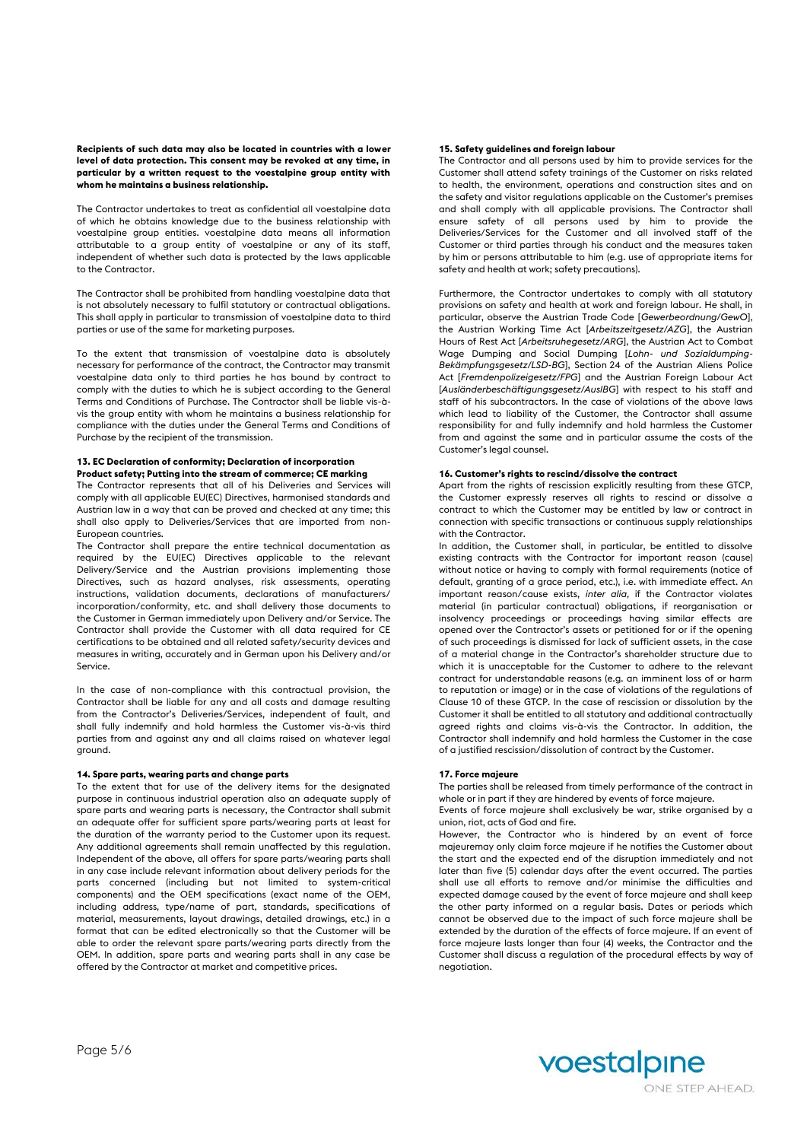**Recipients of such data may also be located in countries with a lower level of data protection. This consent may be revoked at any time, in particular by a written request to the voestalpine group entity with whom he maintains a business relationship.**

The Contractor undertakes to treat as confidential all voestalpine data of which he obtains knowledge due to the business relationship with voestalpine group entities. voestalpine data means all information attributable to a group entity of voestalpine or any of its staff, independent of whether such data is protected by the laws applicable to the Contractor.

The Contractor shall be prohibited from handling voestalpine data that is not absolutely necessary to fulfil statutory or contractual obligations. This shall apply in particular to transmission of voestalpine data to third parties or use of the same for marketing purposes.

To the extent that transmission of voestalpine data is absolutely necessary for performance of the contract, the Contractor may transmit voestalpine data only to third parties he has bound by contract to comply with the duties to which he is subject according to the General Terms and Conditions of Purchase. The Contractor shall be liable vis-àvis the group entity with whom he maintains a business relationship for compliance with the duties under the General Terms and Conditions of Purchase by the recipient of the transmission.

# **13. EC Declaration of conformity; Declaration of incorporation Product safety; Putting into the stream of commerce; CE marking**

The Contractor represents that all of his Deliveries and Services will comply with all applicable EU(EC) Directives, harmonised standards and Austrian law in a way that can be proved and checked at any time; this shall also apply to Deliveries/Services that are imported from non-European countries.

The Contractor shall prepare the entire technical documentation as required by the EU(EC) Directives applicable to the relevant Delivery/Service and the Austrian provisions implementing those Directives, such as hazard analyses, risk assessments, operating instructions, validation documents, declarations of manufacturers/ incorporation/conformity, etc. and shall delivery those documents to the Customer in German immediately upon Delivery and/or Service. The Contractor shall provide the Customer with all data required for CE certifications to be obtained and all related safety/security devices and measures in writing, accurately and in German upon his Delivery and/or Service.

In the case of non-compliance with this contractual provision, the Contractor shall be liable for any and all costs and damage resulting from the Contractor's Deliveries/Services, independent of fault, and shall fully indemnify and hold harmless the Customer vis-à-vis third parties from and against any and all claims raised on whatever legal ground.

# **14. Spare parts, wearing parts and change parts**

To the extent that for use of the delivery items for the designated purpose in continuous industrial operation also an adequate supply of spare parts and wearing parts is necessary, the Contractor shall submit an adequate offer for sufficient spare parts/wearing parts at least for the duration of the warranty period to the Customer upon its request. Any additional agreements shall remain unaffected by this regulation. Independent of the above, all offers for spare parts/wearing parts shall in any case include relevant information about delivery periods for the parts concerned (including but not limited to system-critical components) and the OEM specifications (exact name of the OEM, including address, type/name of part, standards, specifications of material, measurements, layout drawings, detailed drawings, etc.) in a format that can be edited electronically so that the Customer will be able to order the relevant spare parts/wearing parts directly from the OEM. In addition, spare parts and wearing parts shall in any case be offered by the Contractor at market and competitive prices.

# **15. Safety guidelines and foreign labour**

The Contractor and all persons used by him to provide services for the Customer shall attend safety trainings of the Customer on risks related to health, the environment, operations and construction sites and on the safety and visitor regulations applicable on the Customer's premises and shall comply with all applicable provisions. The Contractor shall ensure safety of all persons used by him to provide the Deliveries/Services for the Customer and all involved staff of the Customer or third parties through his conduct and the measures taken by him or persons attributable to him (e.g. use of appropriate items for safety and health at work; safety precautions).

Furthermore, the Contractor undertakes to comply with all statutory provisions on safety and health at work and foreign labour. He shall, in particular, observe the Austrian Trade Code [*Gewerbeordnung/GewO*], the Austrian Working Time Act [*Arbeitszeitgesetz/AZG*], the Austrian Hours of Rest Act [*Arbeitsruhegesetz/ARG*], the Austrian Act to Combat Wage Dumping and Social Dumping [*Lohn- und Sozialdumping-Bekämpfungsgesetz/LSD-BG*], Section 24 of the Austrian Aliens Police Act [*Fremdenpolizeigesetz/FPG*] and the Austrian Foreign Labour Act [*Ausländerbeschäftigungsgesetz/AuslBG*] with respect to his staff and staff of his subcontractors. In the case of violations of the above laws which lead to liability of the Customer, the Contractor shall assume responsibility for and fully indemnify and hold harmless the Customer from and against the same and in particular assume the costs of the Customer's legal counsel.

# **16. Customer's rights to rescind/dissolve the contract**

Apart from the rights of rescission explicitly resulting from these GTCP, the Customer expressly reserves all rights to rescind or dissolve a contract to which the Customer may be entitled by law or contract in connection with specific transactions or continuous supply relationships with the Contractor.

In addition, the Customer shall, in particular, be entitled to dissolve existing contracts with the Contractor for important reason (cause) without notice or having to comply with formal requirements (notice of default, granting of a grace period, etc.), i.e. with immediate effect. An important reason/cause exists, *inter alia*, if the Contractor violates material (in particular contractual) obligations, if reorganisation or insolvency proceedings or proceedings having similar effects are opened over the Contractor's assets or petitioned for or if the opening of such proceedings is dismissed for lack of sufficient assets, in the case of a material change in the Contractor's shareholder structure due to which it is unacceptable for the Customer to adhere to the relevant contract for understandable reasons (e.g. an imminent loss of or harm to reputation or image) or in the case of violations of the regulations of Clause 10 of these GTCP. In the case of rescission or dissolution by the Customer it shall be entitled to all statutory and additional contractually agreed rights and claims vis-à-vis the Contractor. In addition, the Contractor shall indemnify and hold harmless the Customer in the case of a justified rescission/dissolution of contract by the Customer.

# **17. Force majeure**

The parties shall be released from timely performance of the contract in whole or in part if they are hindered by events of force majeure.

Events of force majeure shall exclusively be war, strike organised by a union, riot, acts of God and fire.

However, the Contractor who is hindered by an event of force majeuremay only claim force majeure if he notifies the Customer about the start and the expected end of the disruption immediately and not later than five (5) calendar days after the event occurred. The parties shall use all efforts to remove and/or minimise the difficulties and expected damage caused by the event of force majeure and shall keep the other party informed on a regular basis. Dates or periods which cannot be observed due to the impact of such force majeure shall be extended by the duration of the effects of force majeure. If an event of force majeure lasts longer than four (4) weeks, the Contractor and the Customer shall discuss a regulation of the procedural effects by way of negotiation.